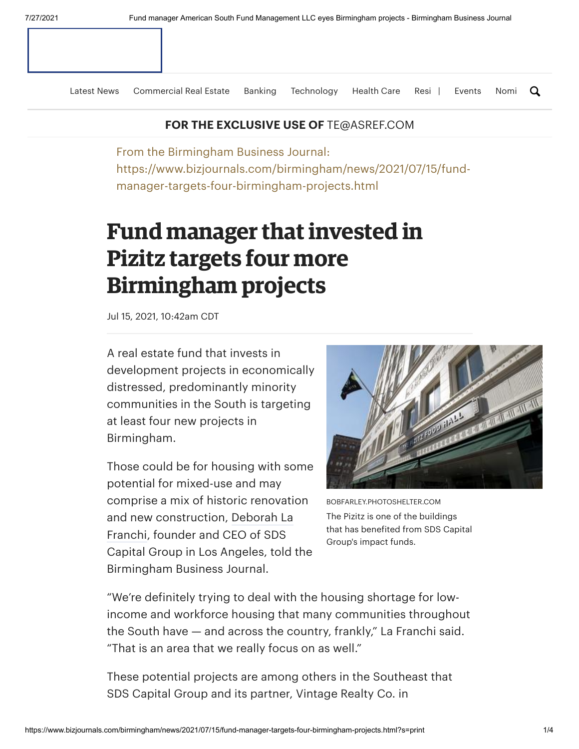[Latest](https://www.bizjournals.com/birmingham/news) News [Commercial](https://www.bizjournals.com/birmingham/news/commercial-real-estate) Real Estate [Banking](https://www.bizjournals.com/birmingham/news/banking-and-financial-services) [Technology](https://www.bizjournals.com/birmingham/news/technology) [Health](https://www.bizjournals.com/birmingham/news/health-care) Care [Resi](https://www.bizjournals.com/birmingham/news/residential-real-estate) | [Events](https://www.bizjournals.com/birmingham/event) [Nomi](https://www.bizjournals.com/birmingham/nomination) Q

## **FOR THE EXCLUSIVE USE OF** TE@ASREF.COM

From the Birmingham Business Journal: https://www.bizjournals.com/birmingham/news/2021/07/15/fundmanager-targets-four-birmingham-projects.html

## **Fund manager thatinvested in Pizitz targets four more Birmingham projects**

Jul 15, 2021, 10:42am CDT

A real estate fund that invests in development projects in economically distressed, predominantly minority communities in the South is targeting at least four new projects in Birmingham.

Those could be for housing with some potential for mixed-use and may comprise a mix of historic renovation and new [construction,](https://www.bizjournals.com/birmingham/search/results?q=Deborah%20La%20Franchi) Deborah La Franchi, founder and CEO of SDS Capital Group in Los Angeles, told the Birmingham Business Journal.



BOBFARLEY.PHOTOSHELTER.COM The Pizitz is one of the buildings that has benefited from SDS Capital Group's impact funds.

"We're definitely trying to deal with the housing shortage for lowincome and workforce housing that many communities throughout the South have — and across the country, frankly," La Franchi said. "That is an area that we really focus on as well."

These potential projects are among others in the Southeast that SDS Capital Group and its partner, Vintage Realty Co. in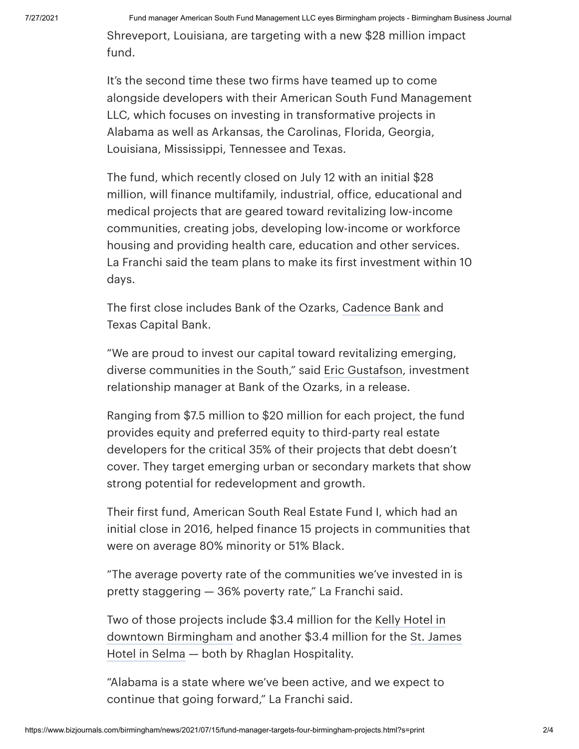Shreveport, Louisiana, are targeting with a new \$28 million impact fund.

It's the second time these two firms have teamed up to come alongside developers with their American South Fund Management LLC, which focuses on investing in transformative projects in Alabama as well as Arkansas, the Carolinas, Florida, Georgia, Louisiana, Mississippi, Tennessee and Texas.

The fund, which recently closed on July 12 with an initial \$28 million, will finance multifamily, industrial, office, educational and medical projects that are geared toward revitalizing low-income communities, creating jobs, developing low-income or workforce housing and providing health care, education and other services. La Franchi said the team plans to make its first investment within 10 days.

The first close includes Bank of the Ozarks, [Cadence](https://www.bizjournals.com/profile/company/org_ch_3d8f3460665007bd0566a16132ec51fd) Bank and Texas Capital Bank.

"We are proud to invest our capital toward revitalizing emerging, diverse communities in the South," said Eric [Gustafson,](https://www.bizjournals.com/birmingham/search/results?q=Eric%20Gustafson) investment relationship manager at Bank of the Ozarks, in a release.

Ranging from \$7.5 million to \$20 million for each project, the fund provides equity and preferred equity to third-party real estate developers for the critical 35% of their projects that debt doesn't cover. They target emerging urban or secondary markets that show strong potential for redevelopment and growth.

Their first fund, American South Real Estate Fund I, which had an initial close in 2016, helped finance 15 projects in communities that were on average 80% minority or 51% Black.

"The average poverty rate of the communities we've invested in is pretty staggering — 36% poverty rate," La Franchi said.

Two of those projects include \$3.4 million for the Kelly Hotel in downtown [Birmingham](https://www.bizjournals.com/birmingham/news/2020/01/30/construction-underway-on-new-luxury-hotel-in.html) and another \$3.4 million for the St. James Hotel in Selma — both by Rhaglan Hospitality.

"Alabama is a state where we've been active, and we expect to continue that going forward," La Franchi said.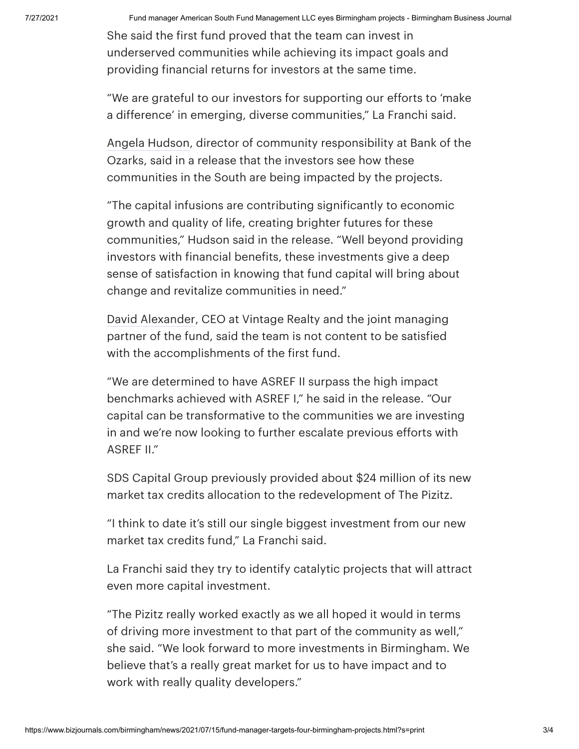7/27/2021 Fund manager American South Fund Management LLC eyes Birmingham projects - Birmingham Business Journal

She said the first fund proved that the team can invest in underserved communities while achieving its impact goals and providing financial returns for investors at the same time.

"We are grateful to our investors for supporting our efforts to 'make a difference' in emerging, diverse communities," La Franchi said.

Angela [Hudson,](https://www.bizjournals.com/birmingham/search/results?q=Angela%20Hudson) director of community responsibility at Bank of the Ozarks, said in a release that the investors see how these communities in the South are being impacted by the projects.

"The capital infusions are contributing significantly to economic growth and quality of life, creating brighter futures for these communities," Hudson said in the release. "Well beyond providing investors with financial benefits, these investments give a deep sense of satisfaction in knowing that fund capital will bring about change and revitalize communities in need."

David [Alexander,](https://www.bizjournals.com/birmingham/search/results?q=David%20Alexander) CEO at Vintage Realty and the joint managing partner of the fund, said the team is not content to be satisfied with the accomplishments of the first fund.

"We are determined to have ASREF II surpass the high impact benchmarks achieved with ASREF I," he said in the release. "Our capital can be transformative to the communities we are investing in and we're now looking to further escalate previous efforts with ASREF II."

SDS Capital Group previously provided about \$24 million of its new market tax credits allocation to the redevelopment of The Pizitz.

"I think to date it's still our single biggest investment from our new market tax credits fund," La Franchi said.

La Franchi said they try to identify catalytic projects that will attract even more capital investment.

"The Pizitz really worked exactly as we all hoped it would in terms of driving more investment to that part of the community as well," she said. "We look forward to more investments in Birmingham. We believe that's a really great market for us to have impact and to work with really quality developers."